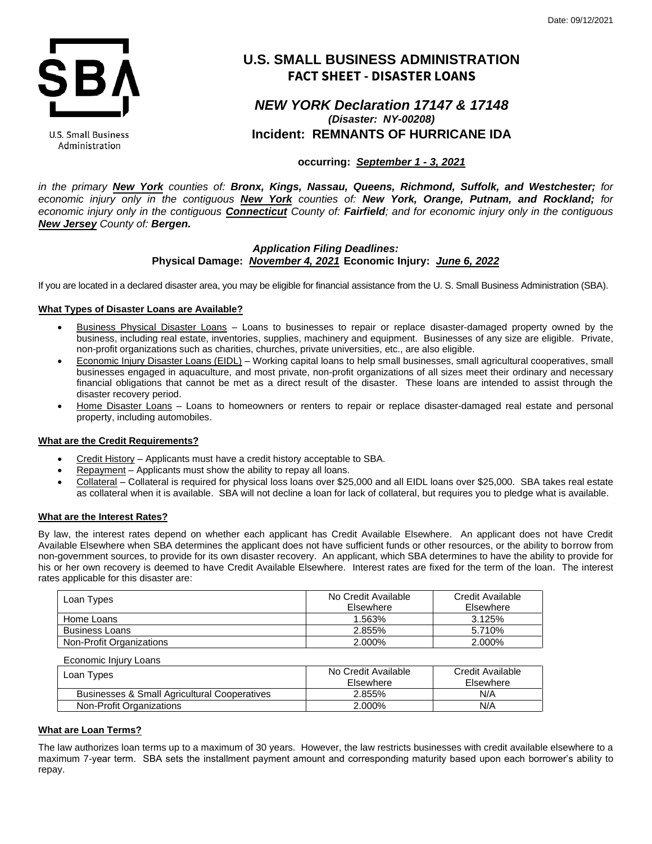

## U.S. Small Business Administration

# **U.S. SMALL BUSINESS ADMINISTRATION FACT SHEET - DISASTER LOANS**

# *NEW YORK Declaration 17147 & 17148 (Disaster: NY-00208)* **Incident: REMNANTS OF HURRICANE IDA**

# **occurring:** *September 1 - 3, 2021*

*in the primary New York counties of: Bronx, Kings, Nassau, Queens, Richmond, Suffolk, and Westchester; for economic injury only in the contiguous New York counties of: New York, Orange, Putnam, and Rockland; for*  economic injury only in the contiguous Connecticut County of: Fairfield; and for economic injury only in the contiguous *New Jersey County of: Bergen.* 

# *Application Filing Deadlines:*  **Physical Damage:** *November 4, 2021* **Economic Injury:** *June 6, 2022*

If you are located in a declared disaster area, you may be eligible for financial assistance from the U. S. Small Business Administration (SBA).

## **What Types of Disaster Loans are Available?**

- Business Physical Disaster Loans Loans to businesses to repair or replace disaster-damaged property owned by the business, including real estate, inventories, supplies, machinery and equipment. Businesses of any size are eligible. Private, non-profit organizations such as charities, churches, private universities, etc., are also eligible.
- Economic Injury Disaster Loans (EIDL) Working capital loans to help small businesses, small agricultural cooperatives, small businesses engaged in aquaculture, and most private, non-profit organizations of all sizes meet their ordinary and necessary financial obligations that cannot be met as a direct result of the disaster. These loans are intended to assist through the disaster recovery period.
- Home Disaster Loans Loans to homeowners or renters to repair or replace disaster-damaged real estate and personal property, including automobiles.

## **What are the Credit Requirements?**

- Credit History Applicants must have a credit history acceptable to SBA.
- Repayment Applicants must show the ability to repay all loans.
- Collateral Collateral is required for physical loss loans over \$25,000 and all EIDL loans over \$25,000. SBA takes real estate as collateral when it is available. SBA will not decline a loan for lack of collateral, but requires you to pledge what is available.

## **What are the Interest Rates?**

By law, the interest rates depend on whether each applicant has Credit Available Elsewhere. An applicant does not have Credit Available Elsewhere when SBA determines the applicant does not have sufficient funds or other resources, or the ability to borrow from non-government sources, to provide for its own disaster recovery. An applicant, which SBA determines to have the ability to provide for his or her own recovery is deemed to have Credit Available Elsewhere. Interest rates are fixed for the term of the loan. The interest rates applicable for this disaster are:

| Loan Types               | No Credit Available<br>Elsewhere | Credit Available<br>Elsewhere |
|--------------------------|----------------------------------|-------------------------------|
| Home Loans               | 1.563%                           | 3.125%                        |
| <b>Business Loans</b>    | 2.855%                           | 5.710%                        |
| Non-Profit Organizations | 2.000%                           | 2.000%                        |

Economic Injury Loans

| Loan Types                                   | No Credit Available<br>Elsewhere | Credit Available<br>Elsewhere |
|----------------------------------------------|----------------------------------|-------------------------------|
| Businesses & Small Agricultural Cooperatives | 2.855%                           | N/A                           |
| Non-Profit Organizations                     | 2.000%                           | N/A                           |

## **What are Loan Terms?**

The law authorizes loan terms up to a maximum of 30 years. However, the law restricts businesses with credit available elsewhere to a maximum 7-year term. SBA sets the installment payment amount and corresponding maturity based upon each borrower's ability to repay.